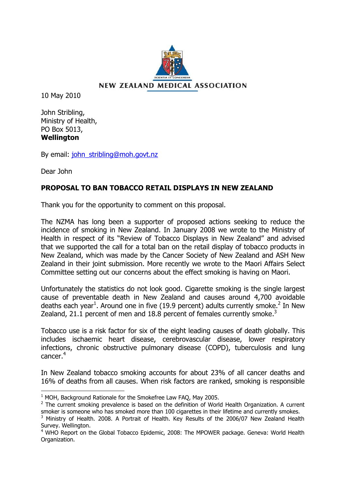

## NEW ZEALAND MEDICAL ASSOCIATION

10 May 2010

John Stribling, Ministry of Health, PO Box 5013, **Wellington**

By email: [john\\_stribling@moh.govt.nz](mailto:john_stribling@moh.govt.nz)

Dear John

 $\overline{a}$ 

## **PROPOSAL TO BAN TOBACCO RETAIL DISPLAYS IN NEW ZEALAND**

Thank you for the opportunity to comment on this proposal.

The NZMA has long been a supporter of proposed actions seeking to reduce the incidence of smoking in New Zealand. In January 2008 we wrote to the Ministry of Health in respect of its "Review of Tobacco Displays in New Zealand" and advised that we supported the call for a total ban on the retail display of tobacco products in New Zealand, which was made by the Cancer Society of New Zealand and ASH New Zealand in their joint submission. More recently we wrote to the Maori Affairs Select Committee setting out our concerns about the effect smoking is having on Maori.

Unfortunately the statistics do not look good. Cigarette smoking is the single largest cause of preventable death in New Zealand and causes around 4,700 avoidable deaths each year<sup>1</sup>. Around one in five (19.9 percent) adults currently smoke.<sup>2</sup> In New Zealand, 21.1 percent of men and 18.8 percent of females currently smoke.<sup>3</sup>

Tobacco use is a risk factor for six of the eight leading causes of death globally. This includes ischaemic heart disease, cerebrovascular disease, lower respiratory infections, chronic obstructive pulmonary disease (COPD), tuberculosis and lung cancer. 4

In New Zealand tobacco smoking accounts for about 23% of all cancer deaths and 16% of deaths from all causes. When risk factors are ranked, smoking is responsible

 $1$  MOH, Background Rationale for the Smokefree Law FAQ, May 2005.

 $2$  The current smoking prevalence is based on the definition of World Health Organization. A current smoker is someone who has smoked more than 100 cigarettes in their lifetime and currently smokes.

<sup>&</sup>lt;sup>3</sup> Ministry of Health. 2008. A Portrait of Health. Key Results of the 2006/07 New Zealand Health Survey. Wellington.

<sup>&</sup>lt;sup>4</sup> WHO Report on the Global Tobacco Epidemic, 2008: The MPOWER package. Geneva: World Health Organization.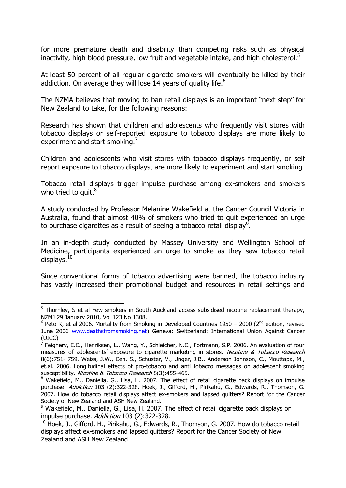for more premature death and disability than competing risks such as physical inactivity, high blood pressure, low fruit and vegetable intake, and high cholesterol.<sup>5</sup>

At least 50 percent of all regular cigarette smokers will eventually be killed by their addiction. On average they will lose 14 years of quality life.<sup>6</sup>

The NZMA believes that moving to ban retail displays is an important "next step" for New Zealand to take, for the following reasons:

Research has shown that children and adolescents who frequently visit stores with tobacco displays or self-reported exposure to tobacco displays are more likely to experiment and start smoking.

Children and adolescents who visit stores with tobacco displays frequently, or self report exposure to tobacco displays, are more likely to experiment and start smoking.

Tobacco retail displays trigger impulse purchase among ex-smokers and smokers who tried to quit. $^8$ 

A study conducted by Professor Melanine Wakefield at the Cancer Council Victoria in Australia, found that almost 40% of smokers who tried to quit experienced an urge to purchase cigarettes as a result of seeing a tobacco retail display<sup>9</sup>.

In an in-depth study conducted by Massey University and Wellington School of Medicine, participants experienced an urge to smoke as they saw tobacco retail displays. $^{10}$ 

Since conventional forms of tobacco advertising were banned, the tobacco industry has vastly increased their promotional budget and resources in retail settings and

l

<sup>&</sup>lt;sup>5</sup> Thornley, S et al Few smokers in South Auckland access subsidised nicotine replacement therapy, NZMJ 29 January 2010, Vol 123 No 1308.

 $6$  Peto R, et al 2006. Mortality from Smoking in Developed Countries 1950 – 2000 (2<sup>nd</sup> edition, revised June 2006 [www.deathsfromsmoking.net\)](http://www.deathsfromsmoking.net/) Geneva: Switzerland: International Union Against Cancer (UICC)

<sup>&</sup>lt;sup>7</sup> Feighery, E.C., Henriksen, L., Wang, Y., Schleicher, N.C., Fortmann, S.P. 2006. An evaluation of four measures of adolescents' exposure to cigarette marketing in stores. Nicotine & Tobacco Research 8(6):751- 759. Weiss, J.W., Cen, S., Schuster, V., Unger, J.B., Anderson Johnson, C., Mouttapa, M., et.al. 2006. Longitudinal effects of pro-tobacco and anti tobacco messages on adolescent smoking susceptibility. Nicotine & Tobacco Research 8(3):455-465.

<sup>&</sup>lt;sup>8</sup> Wakefield, M., Daniella, G., Lisa, H. 2007. The effect of retail cigarette pack displays on impulse purchase. Addiction 103 (2):322-328. Hoek, J., Gifford, H., Pirikahu, G., Edwards, R., Thomson, G. 2007. How do tobacco retail displays affect ex-smokers and lapsed quitters? Report for the Cancer Society of New Zealand and ASH New Zealand.

 $9$  Wakefield, M., Daniella, G., Lisa, H. 2007. The effect of retail cigarette pack displays on impulse purchase. Addiction 103 (2):322-328.

<sup>&</sup>lt;sup>10</sup> Hoek, J., Gifford, H., Pirikahu, G., Edwards, R., Thomson, G. 2007. How do tobacco retail displays affect ex-smokers and lapsed quitters? Report for the Cancer Society of New Zealand and ASH New Zealand.